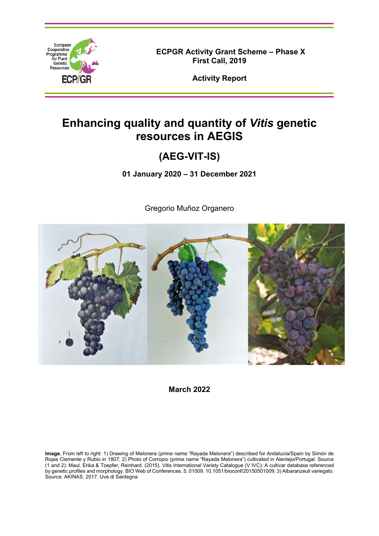

**ECPGR Activity Grant Scheme – Phase X First Call, 2019**

**Activity Report**

# **Enhancing quality and quantity of** *Vitis* **genetic resources in AEGIS**

## **(AEG-VIT-IS)**

**01 January 2020 – 31 December 2021**

Gregorio Muñoz Organero



**March 2022**

**Image.** From left to right: 1) Drawing of Melonera (prime name "Rayada Melonera") described for Andalucia/Spain by Simón de Rojas Clemente y Rubio in 1807; 2) Photo of Corropio (prime name "Rayada Melonera") cultivated in Alentejo/Portugal. Source (1 and 2): Maul, Erika & Toepfer, Reinhard. (2015). Vitis International Variety Catalogue (V IVC): A cultivar database referenced by genetic profiles and morphology. BIO Web of Conferences. 5. 01009. 10.1051/bioconf/20150501009; 3) Albaranzeuli variegato. Source: AKINAS. 2017. Uve di Sardegna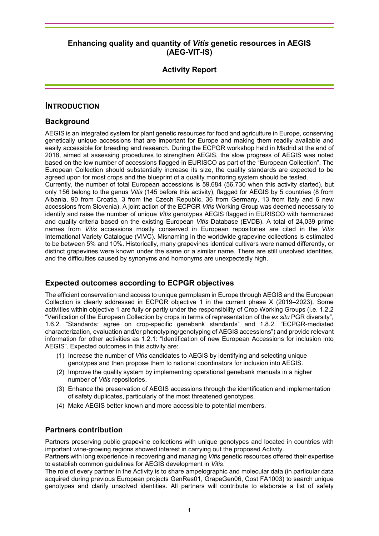## **Activity Report**

#### **INTRODUCTION**

#### **Background**

AEGIS is an integrated system for plant genetic resources for food and agriculture in Europe, conserving genetically unique accessions that are important for Europe and making them readily available and easily accessible for breeding and research. During the ECPGR workshop held in Madrid at the end of 2018, aimed at assessing procedures to strengthen AEGIS, the slow progress of AEGIS was noted based on the low number of accessions flagged in EURISCO as part of the "European Collection". The European Collection should substantially increase its size, the quality standards are expected to be agreed upon for most crops and the blueprint of a quality monitoring system should be tested.

Currently, the number of total European accessions is 59,684 (56,730 when this activity started), but only 156 belong to the genus *Vitis* (145 before this activity), flagged for AEGIS by 5 countries (8 from Albania, 90 from Croatia, 3 from the Czech Republic, 36 from Germany, 13 from Italy and 6 new accessions from Slovenia). A joint action of the ECPGR *Vitis* Working Group was deemed necessary to identify and raise the number of unique *Vitis* genotypes AEGIS flagged in EURISCO with harmonized and quality criteria based on the existing European *Vitis* Database (EVDB). A total of 24,039 prime names from *Vitis* accessions mostly conserved in European repositories are cited in the *Vitis* International Variety Catalogue (VIVC). Misnaming in the worldwide grapevine collections is estimated to be between 5% and 10%. Historically, many grapevines identical cultivars were named differently, or distinct grapevines were known under the same or a similar name. There are still unsolved identities, and the difficulties caused by synonyms and homonyms are unexpectedly high.

#### **Expected outcomes according to ECPGR objectives**

The efficient conservation and access to unique germplasm in Europe through AEGIS and the European Collection is clearly addressed in ECPGR objective 1 in the current phase X (2019–2023). Some activities within objective 1 are fully or partly under the responsibility of Crop Working Groups (i.e. 1.2.2 "Verification of the European Collection by crops in terms of representation of the *ex situ* PGR diversity", 1.6.2. "Standards: agree on crop-specific genebank standards" and 1.8.2. "ECPGR-mediated characterization, evaluation and/or phenotyping/genotyping of AEGIS accessions") and provide relevant information for other activities as 1.2.1: "Identification of new European Accessions for inclusion into AEGIS". Expected outcomes in this activity are:

- (1) Increase the number of *Vitis* candidates to AEGIS by identifying and selecting unique genotypes and then propose them to national coordinators for inclusion into AEGIS.
- (2) Improve the quality system by implementing operational genebank manuals in a higher number of *Vitis* repositories.
- (3) Enhance the preservation of AEGIS accessions through the identification and implementation of safety duplicates, particularly of the most threatened genotypes.
- (4) Make AEGIS better known and more accessible to potential members.

#### **Partners contribution**

Partners preserving public grapevine collections with unique genotypes and located in countries with important wine-growing regions showed interest in carrying out the proposed Activity.

Partners with long experience in recovering and managing *Vitis* genetic resources offered their expertise to establish common guidelines for AEGIS development in *Vitis*.

The role of every partner in the Activity is to share ampelographic and molecular data (in particular data acquired during previous European projects GenRes01, GrapeGen06, Cost FA1003) to search unique genotypes and clarify unsolved identities. All partners will contribute to elaborate a list of safety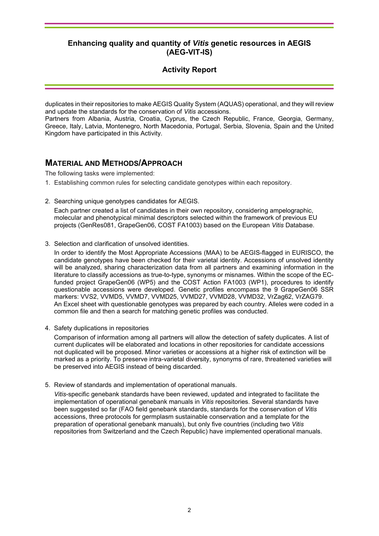## **Activity Report**

duplicates in their repositories to make AEGIS Quality System (AQUAS) operational, and they will review and update the standards for the conservation of *Vitis* accessions.

Partners from Albania, Austria, Croatia, Cyprus, the Czech Republic, France, Georgia, Germany, Greece, Italy, Latvia, Montenegro, North Macedonia, Portugal, Serbia, Slovenia, Spain and the United Kingdom have participated in this Activity.

## **MATERIAL AND METHODS/APPROACH**

The following tasks were implemented:

- 1. Establishing common rules for selecting candidate genotypes within each repository.
- 2. Searching unique genotypes candidates for AEGIS.

Each partner created a list of candidates in their own repository, considering ampelographic, molecular and phenotypical minimal descriptors selected within the framework of previous EU projects (GenRes081, GrapeGen06, COST FA1003) based on the European *Vitis* Database.

3. Selection and clarification of unsolved identities.

In order to identify the Most Appropriate Accessions (MAA) to be AEGIS-flagged in EURISCO, the candidate genotypes have been checked for their varietal identity. Accessions of unsolved identity will be analyzed, sharing characterization data from all partners and examining information in the literature to classify accessions as true-to-type, synonyms or misnames. Within the scope of the ECfunded project GrapeGen06 (WP5) and the COST Action FA1003 (WP1), procedures to identify questionable accessions were developed. Genetic profiles encompass the 9 GrapeGen06 SSR markers: VVS2, VVMD5, VVMD7, VVMD25, VVMD27, VVMD28, VVMD32, VrZag62, VrZAG79. An Excel sheet with questionable genotypes was prepared by each country. Alleles were coded in a common file and then a search for matching genetic profiles was conducted.

4. Safety duplications in repositories

Comparison of information among all partners will allow the detection of safety duplicates. A list of current duplicates will be elaborated and locations in other repositories for candidate accessions not duplicated will be proposed. Minor varieties or accessions at a higher risk of extinction will be marked as a priority. To preserve intra-varietal diversity, synonyms of rare, threatened varieties will be preserved into AEGIS instead of being discarded.

5. Review of standards and implementation of operational manuals.

*Vitis*-specific genebank standards have been reviewed, updated and integrated to facilitate the implementation of operational genebank manuals in *Vitis* repositories. Several standards have been suggested so far (FAO field genebank standards, standards for the conservation of *Vitis* accessions, three protocols for germplasm sustainable conservation and a template for the preparation of operational genebank manuals), but only five countries (including two *Vitis* repositories from Switzerland and the Czech Republic) have implemented operational manuals.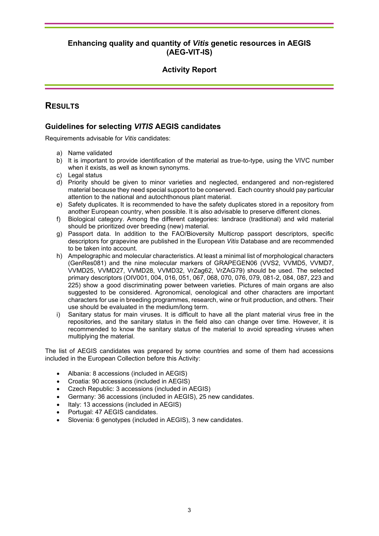## **Activity Report**

## **RESULTS**

## **Guidelines for selecting** *VITIS* **AEGIS candidates**

Requirements advisable for *Vitis* candidates:

- a) Name validated
- b) It is important to provide identification of the material as true-to-type, using the VIVC number when it exists, as well as known synonyms.
- c) Legal status
- d) Priority should be given to minor varieties and neglected, endangered and non-registered material because they need special support to be conserved. Each country should pay particular attention to the national and autochthonous plant material.
- e) Safety duplicates. It is recommended to have the safety duplicates stored in a repository from another European country, when possible. It is also advisable to preserve different clones.
- f) Biological category. Among the different categories: landrace (traditional) and wild material should be prioritized over breeding (new) material.
- g) Passport data. In addition to the FAO/Bioversity Multicrop passport descriptors, specific descriptors for grapevine are published in the European *Vitis* Database and are recommended to be taken into account.
- h) Ampelographic and molecular characteristics. At least a minimal list of morphological characters (GenRes081) and the nine molecular markers of GRAPEGEN06 (VVS2, VVMD5, VVMD7, VVMD25, VVMD27, VVMD28, VVMD32, VrZag62, VrZAG79) should be used. The selected primary descriptors (OIV001, 004, 016, 051, 067, 068, 070, 076, 079, 081-2, 084, 087, 223 and 225) show a good discriminating power between varieties. Pictures of main organs are also suggested to be considered. Agronomical, oenological and other characters are important characters for use in breeding programmes, research, wine or fruit production, and others. Their use should be evaluated in the medium/long term.
- i) Sanitary status for main viruses. It is difficult to have all the plant material virus free in the repositories, and the sanitary status in the field also can change over time. However, it is recommended to know the sanitary status of the material to avoid spreading viruses when multiplying the material.

The list of AEGIS candidates was prepared by some countries and some of them had accessions included in the European Collection before this Activity:

- Albania: 8 accessions (included in AEGIS)
- Croatia: 90 accessions (included in AEGIS)
- Czech Republic: 3 accessions (included in AEGIS)
- Germany: 36 accessions (included in AEGIS), 25 new candidates.
- Italy: 13 accessions (included in AEGIS)
- Portugal: 47 AEGIS candidates.
- Slovenia: 6 genotypes (included in AEGIS), 3 new candidates.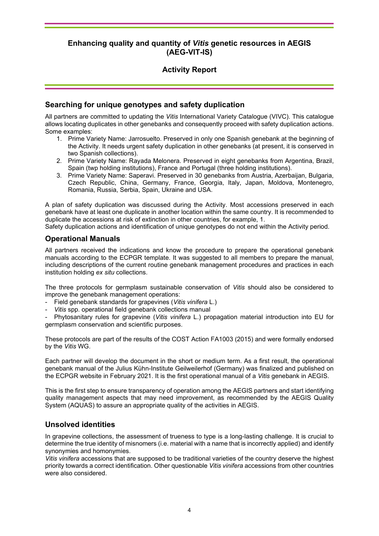## **Activity Report**

#### **Searching for unique genotypes and safety duplication**

All partners are committed to updating the *Vitis* International Variety Catalogue (VIVC). This catalogue allows locating duplicates in other genebanks and consequently proceed with safety duplication actions. Some examples:

- 1. Prime Variety Name: Jarrosuelto. Preserved in only one Spanish genebank at the beginning of the Activity. It needs urgent safety duplication in other genebanks (at present, it is conserved in two Spanish collections).
- 2. Prime Variety Name: Rayada Melonera. Preserved in eight genebanks from Argentina, Brazil, Spain (twp holding institutions), France and Portugal (three holding institutions).
- 3. Prime Variety Name: Saperavi. Preserved in 30 genebanks from Austria, Azerbaijan, Bulgaria, Czech Republic, China, Germany, France, Georgia, Italy, Japan, Moldova, Montenegro, Romania, Russia, Serbia, Spain, Ukraine and USA.

A plan of safety duplication was discussed during the Activity. Most accessions preserved in each genebank have at least one duplicate in another location within the same country. It is recommended to duplicate the accessions at risk of extinction in other countries, for example, 1.

Safety duplication actions and identification of unique genotypes do not end within the Activity period.

#### **Operational Manuals**

All partners received the indications and know the procedure to prepare the operational genebank manuals according to the ECPGR template. It was suggested to all members to prepare the manual, including descriptions of the current routine genebank management procedures and practices in each institution holding *ex situ* collections.

The three protocols for germplasm sustainable conservation of *Vitis* should also be considered to improve the genebank management operations:

- Field genebank standards for grapevines (*Vitis vinifera* L.)
- *Vitis* spp. operational field genebank collections manual

- Phytosanitary rules for grapevine (*Vitis vinifera* L.) propagation material introduction into EU for germplasm conservation and scientific purposes.

These protocols are part of the results of the COST Action FA1003 (2015) and were formally endorsed by the *Vitis* WG.

Each partner will develop the document in the short or medium term. As a first result, the operational genebank manual of the Julius Kühn-Institute Geilweilerhof (Germany) was finalized and published on the ECPGR website in February 2021. It is the first operational manual of a *Vitis* genebank in AEGIS.

This is the first step to ensure transparency of operation among the AEGIS partners and start identifying quality management aspects that may need improvement, as recommended by the AEGIS Quality System (AQUAS) to assure an appropriate quality of the activities in AEGIS.

#### **Unsolved identities**

In grapevine collections, the assessment of trueness to type is a long-lasting challenge. It is crucial to determine the true identity of misnomers (i.e. material with a name that is incorrectly applied) and identify synonymies and homonymies.

*Vitis vinifera* accessions that are supposed to be traditional varieties of the country deserve the highest priority towards a correct identification. Other questionable *Vitis vinifera* accessions from other countries were also considered.